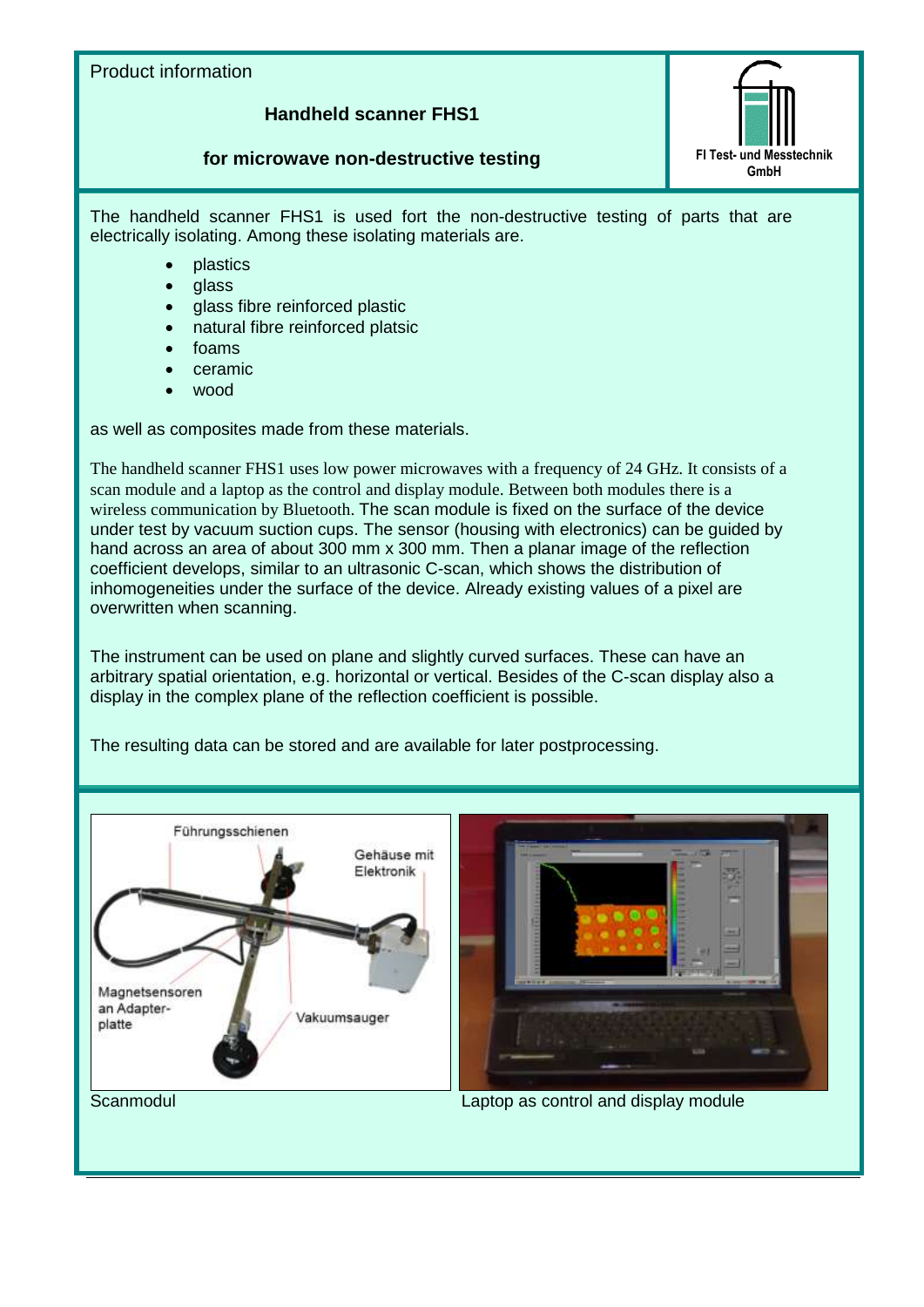## Product information

## **Handheld scanner FHS1**

## **for microwave non-destructive testing FITest-** und Messtechnik



The handheld scanner FHS1 is used fort the non-destructive testing of parts that are electrically isolating. Among these isolating materials are.

- plastics
- glass
- glass fibre reinforced plastic
- natural fibre reinforced platsic
- foams
- ceramic
- wood

as well as composites made from these materials.

The handheld scanner FHS1 uses low power microwaves with a frequency of 24 GHz. It consists of a scan module and a laptop as the control and display module. Between both modules there is a wireless communication by Bluetooth. The scan module is fixed on the surface of the device under test by vacuum suction cups. The sensor (housing with electronics) can be guided by hand across an area of about 300 mm x 300 mm. Then a planar image of the reflection coefficient develops, similar to an ultrasonic C-scan, which shows the distribution of inhomogeneities under the surface of the device. Already existing values of a pixel are overwritten when scanning.

The instrument can be used on plane and slightly curved surfaces. These can have an arbitrary spatial orientation, e.g. horizontal or vertical. Besides of the C-scan display also a display in the complex plane of the reflection coefficient is possible.

The resulting data can be stored and are available for later postprocessing.